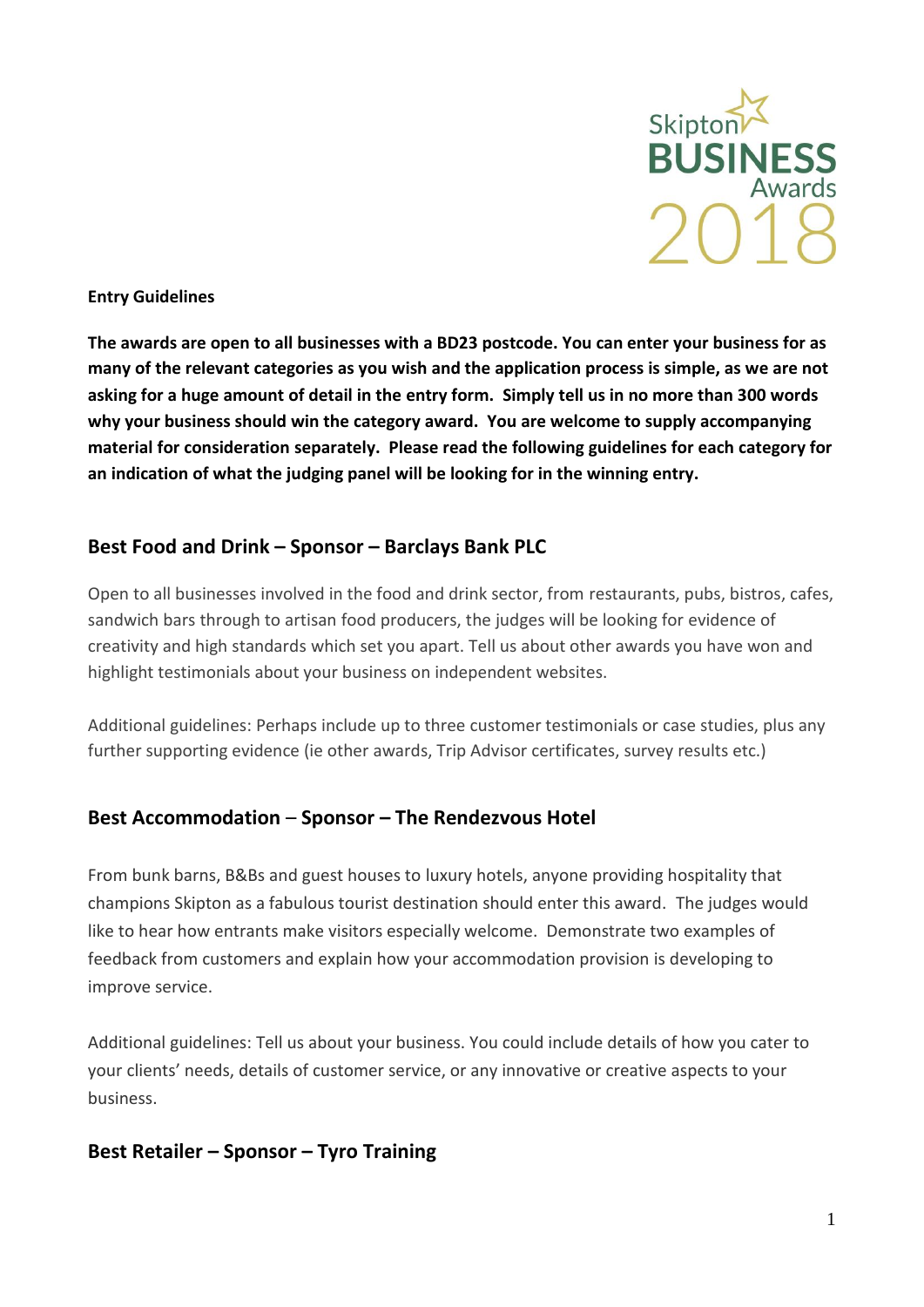

#### **Entry Guidelines**

**The awards are open to all businesses with a BD23 postcode. You can enter your business for as many of the relevant categories as you wish and the application process is simple, as we are not asking for a huge amount of detail in the entry form. Simply tell us in no more than 300 words why your business should win the category award. You are welcome to supply accompanying material for consideration separately. Please read the following guidelines for each category for an indication of what the judging panel will be looking for in the winning entry.**

#### **Best Food and Drink – Sponsor – Barclays Bank PLC**

Open to all businesses involved in the food and drink sector, from restaurants, pubs, bistros, cafes, sandwich bars through to artisan food producers, the judges will be looking for evidence of creativity and high standards which set you apart. Tell us about other awards you have won and highlight testimonials about your business on independent websites.

Additional guidelines: Perhaps include up to three customer testimonials or case studies, plus any further supporting evidence (ie other awards, Trip Advisor certificates, survey results etc.)

#### **Best Accommodation** – **Sponsor – The Rendezvous Hotel**

From bunk barns, B&Bs and guest houses to luxury hotels, anyone providing hospitality that champions Skipton as a fabulous tourist destination should enter this award. The judges would like to hear how entrants make visitors especially welcome. Demonstrate two examples of feedback from customers and explain how your accommodation provision is developing to improve service.

Additional guidelines: Tell us about your business. You could include details of how you cater to your clients' needs, details of customer service, or any innovative or creative aspects to your business.

#### **Best Retailer – Sponsor – Tyro Training**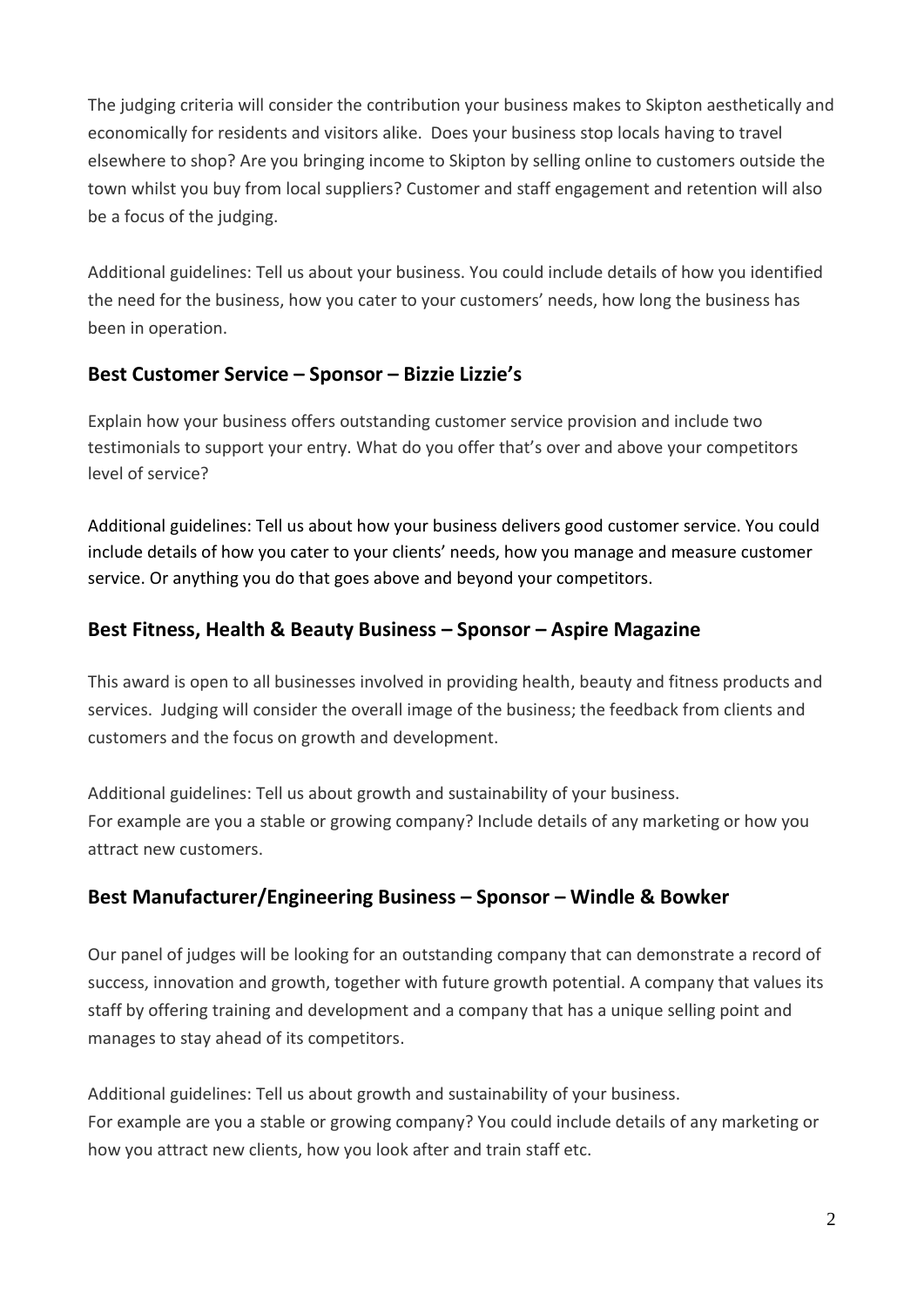The judging criteria will consider the contribution your business makes to Skipton aesthetically and economically for residents and visitors alike. Does your business stop locals having to travel elsewhere to shop? Are you bringing income to Skipton by selling online to customers outside the town whilst you buy from local suppliers? Customer and staff engagement and retention will also be a focus of the judging.

Additional guidelines: Tell us about your business. You could include details of how you identified the need for the business, how you cater to your customers' needs, how long the business has been in operation.

#### **Best Customer Service – Sponsor – Bizzie Lizzie's**

Explain how your business offers outstanding customer service provision and include two testimonials to support your entry. What do you offer that's over and above your competitors level of service?

Additional guidelines: Tell us about how your business delivers good customer service. You could include details of how you cater to your clients' needs, how you manage and measure customer service. Or anything you do that goes above and beyond your competitors.

### **Best Fitness, Health & Beauty Business – Sponsor – Aspire Magazine**

This award is open to all businesses involved in providing health, beauty and fitness products and services. Judging will consider the overall image of the business; the feedback from clients and customers and the focus on growth and development.

Additional guidelines: Tell us about growth and sustainability of your business. For example are you a stable or growing company? Include details of any marketing or how you attract new customers.

## **Best Manufacturer/Engineering Business – Sponsor – Windle & Bowker**

Our panel of judges will be looking for an outstanding company that can demonstrate a record of success, innovation and growth, together with future growth potential. A company that values its staff by offering training and development and a company that has a unique selling point and manages to stay ahead of its competitors.

Additional guidelines: Tell us about growth and sustainability of your business. For example are you a stable or growing company? You could include details of any marketing or how you attract new clients, how you look after and train staff etc.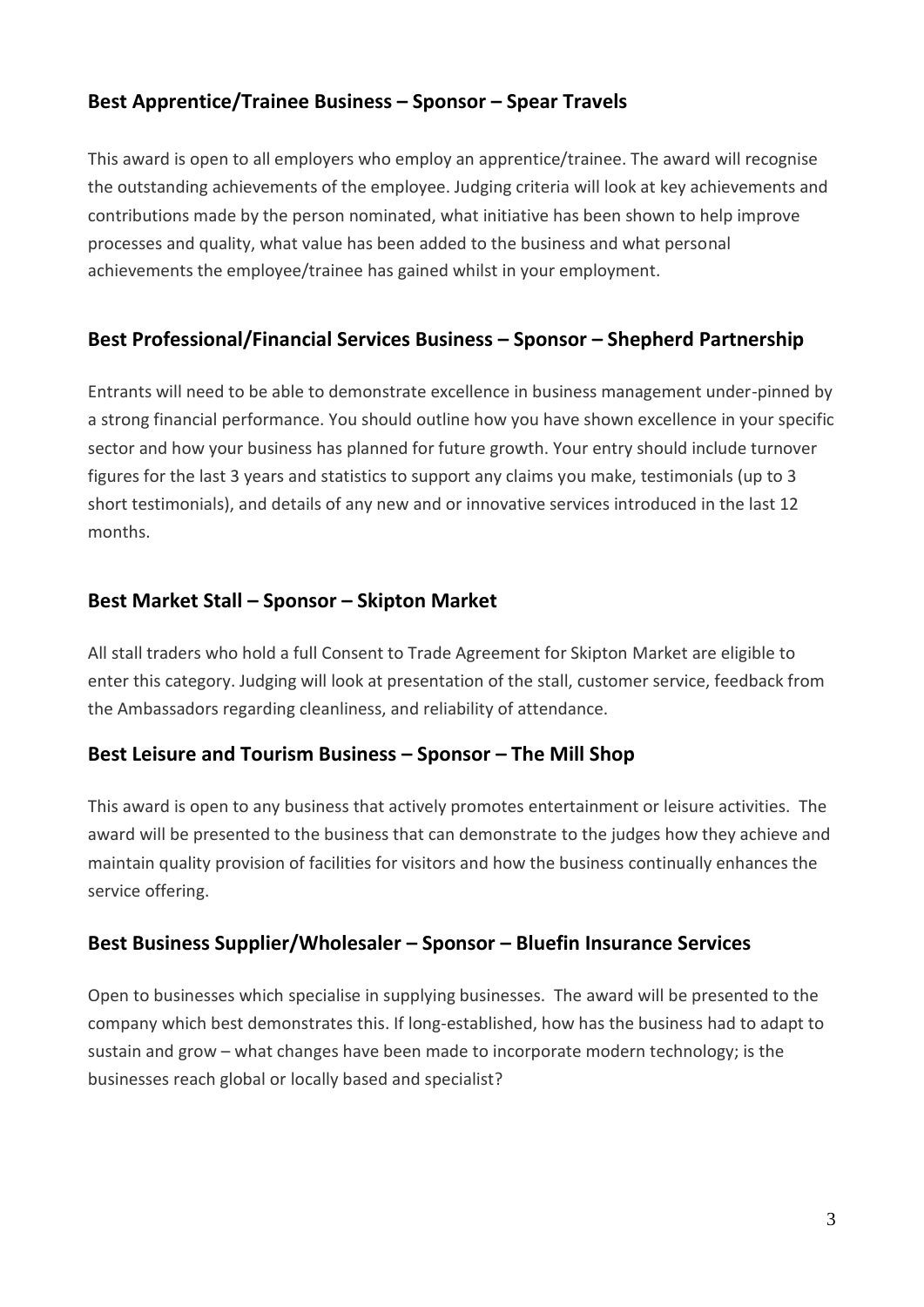### **Best Apprentice/Trainee Business – Sponsor – Spear Travels**

This award is open to all employers who employ an apprentice/trainee. The award will recognise the outstanding achievements of the employee. Judging criteria will look at key achievements and contributions made by the person nominated, what initiative has been shown to help improve processes and quality, what value has been added to the business and what personal achievements the employee/trainee has gained whilst in your employment.

### **Best Professional/Financial Services Business – Sponsor – Shepherd Partnership**

Entrants will need to be able to demonstrate excellence in business management under-pinned by a strong financial performance. You should outline how you have shown excellence in your specific sector and how your business has planned for future growth. Your entry should include turnover figures for the last 3 years and statistics to support any claims you make, testimonials (up to 3 short testimonials), and details of any new and or innovative services introduced in the last 12 months.

#### **Best Market Stall – Sponsor – Skipton Market**

All stall traders who hold a full Consent to Trade Agreement for Skipton Market are eligible to enter this category. Judging will look at presentation of the stall, customer service, feedback from the Ambassadors regarding cleanliness, and reliability of attendance.

#### **Best Leisure and Tourism Business – Sponsor – The Mill Shop**

This award is open to any business that actively promotes entertainment or leisure activities. The award will be presented to the business that can demonstrate to the judges how they achieve and maintain quality provision of facilities for visitors and how the business continually enhances the service offering.

#### **Best Business Supplier/Wholesaler – Sponsor – Bluefin Insurance Services**

Open to businesses which specialise in supplying businesses. The award will be presented to the company which best demonstrates this. If long-established, how has the business had to adapt to sustain and grow – what changes have been made to incorporate modern technology; is the businesses reach global or locally based and specialist?